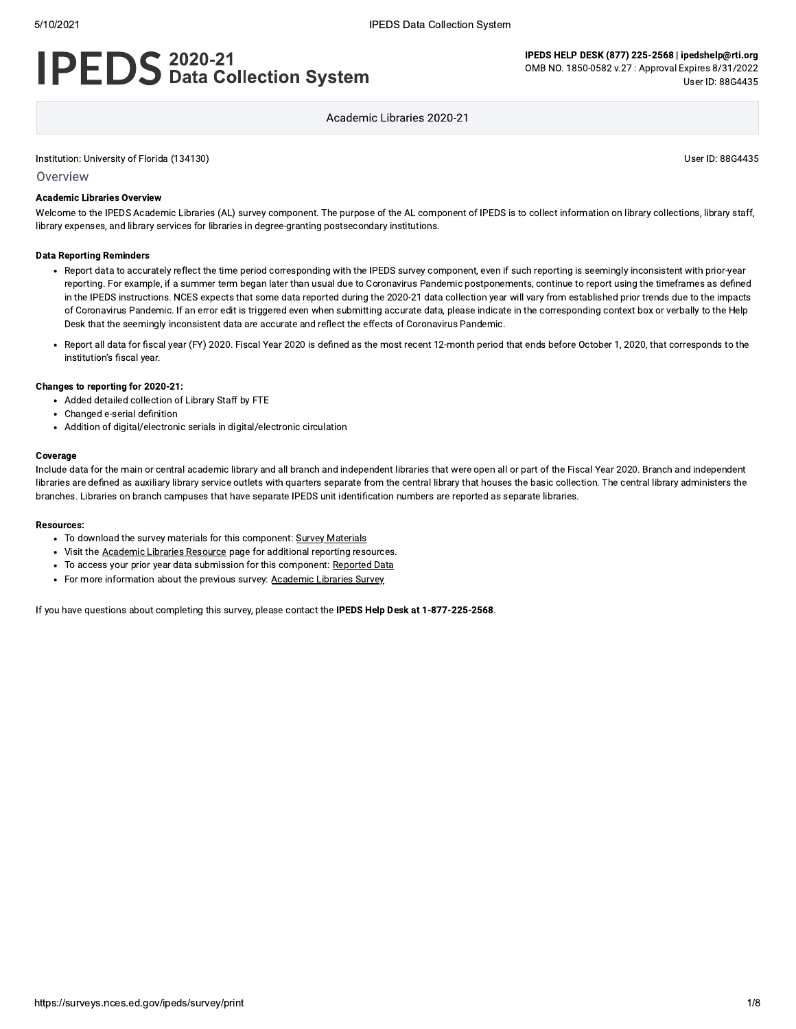# **IPEDS** 2020-21<br>**IPEDS** Data Collection System

IPEDS HELP DESK (877) 225-2568 | ipedshelp@rti.org OMB NO. 1850-0582 v.27 : Approval Expires 8/31/2022 User ID: 88G4435

Academic Libraries 2020-21

#### Institution: University of Florida (134130)

User ID: 88G4435

Overview

#### **Academic Libraries Overview**

Welcome to the IPEDS Academic Libraries (AL) survey component. The purpose of the AL component of IPEDS is to collect information on library collections, library staff, library expenses, and library services for libraries in degree-granting postsecondary institutions.

#### **Data Reporting Reminders**

- Report data to accurately reflect the time period corresponding with the IPEDS survey component, even if such reporting is seemingly inconsistent with prior-year reporting. For example, if a summer term began later than usual due to Coronavirus Pandemic postponements, continue to report using the timeframes as defined in the IPEDS instructions. NCES expects that some data reported during the 2020-21 data collection year will vary from established prior trends due to the impacts of Coronavirus Pandemic. If an error edit is triggered even when submitting accurate data, please indicate in the corresponding context box or verbally to the Help Desk that the seemingly inconsistent data are accurate and reflect the effects of Coronavirus Pandemic.
- Report all data for fiscal year (FY) 2020. Fiscal Year 2020 is defined as the most recent 12-month period that ends before October 1, 2020, that corresponds to the institution's fiscal year.

#### Changes to reporting for 2020-21:

- Added detailed collection of Library Staff by FTE
- Changed e-serial definition
- Addition of digital/electronic serials in digital/electronic circulation

#### Coverage

Include data for the main or central academic library and all branch and independent libraries that were open all or part of the Fiscal Year 2020. Branch and independent libraries are defined as auxiliary library service outlets with quarters separate from the central library that houses the basic collection. The central library administers the branches. Libraries on branch campuses that have separate IPEDS unit identification numbers are reported as separate libraries.

#### **Resources:**

- To download the survey materials for this component: Survey Materials
- Visit the Academic Libraries Resource page for additional reporting resources.
- To access your prior year data submission for this component: Reported Data
- For more information about the previous survey: Academic Libraries Survey

If you have questions about completing this survey, please contact the IPEDS Help Desk at 1-877-225-2568.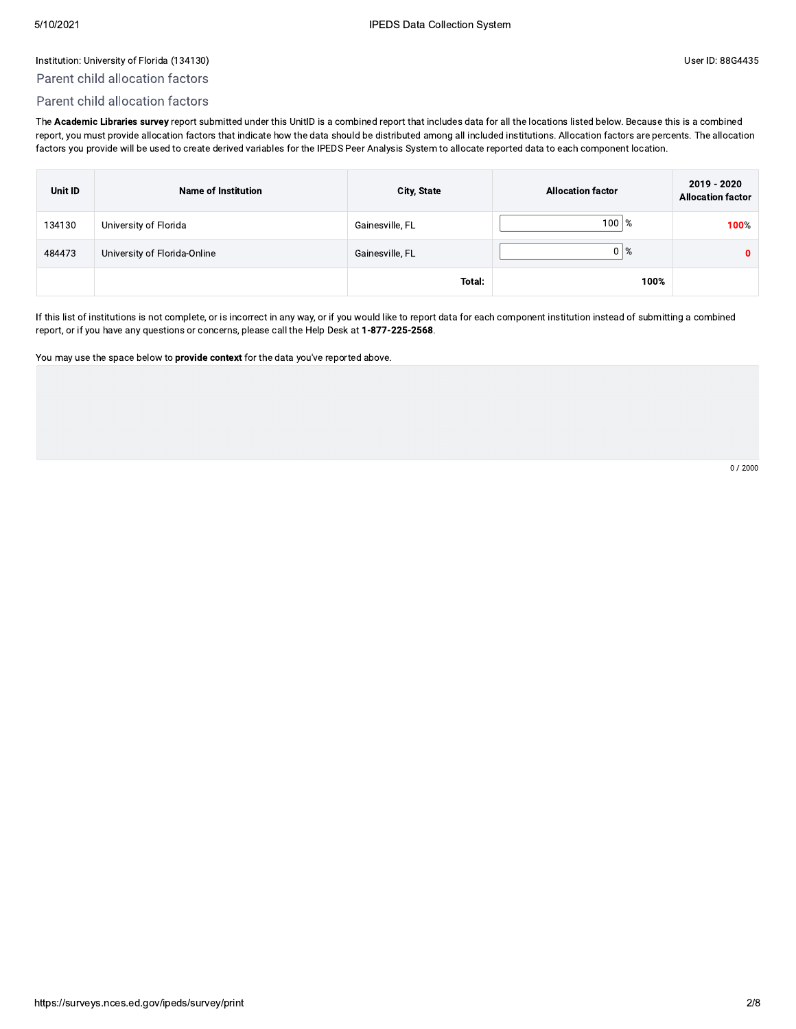# Parent child allocation factors

# Parent child allocation factors

 $\small \textsf{IPEDS Data Collection System} \small \textsf{LWATE} \small \textsf{LWATE} \small \textsf{LWATE} \small \textsf{LWATE} \small \textsf{LWATE} \small \textsf{LWATE} \small \textsf{LWATE} \small \textsf{LWATE} \small \textsf{LWATE} \small \textsf{LWATE} \small \textsf{LWATE} \small \textsf{LWATE} \small \textsf{LWATE} \small \textsf{LWATE} \small \textsf{LWATE} \small \textsf{LWATE} \small \textsf{LWATE} \small \textsf{LWATE} \small \textsf{LWATE} \small \textsf{LWATE} \small \textsf{LW$ 

| Parent child allocation factors<br>Parent child allocation factors                                                                                                            |                                                       |                                                                                                                                                                                      |                                                                                                                                                                                                                                                                                                                                        |
|-------------------------------------------------------------------------------------------------------------------------------------------------------------------------------|-------------------------------------------------------|--------------------------------------------------------------------------------------------------------------------------------------------------------------------------------------|----------------------------------------------------------------------------------------------------------------------------------------------------------------------------------------------------------------------------------------------------------------------------------------------------------------------------------------|
|                                                                                                                                                                               |                                                       |                                                                                                                                                                                      |                                                                                                                                                                                                                                                                                                                                        |
|                                                                                                                                                                               |                                                       |                                                                                                                                                                                      |                                                                                                                                                                                                                                                                                                                                        |
| report, you must provide allocation factors that indicate how the data should be distributed among all included institutions. Allocation factors are percents. The allocation |                                                       | The Academic Libraries survey report submitted under this UnitID is a combined report that includes data for all the locations listed below. Because this is a combined              |                                                                                                                                                                                                                                                                                                                                        |
| <b>Name of Institution</b>                                                                                                                                                    | City, State                                           | <b>Allocation factor</b>                                                                                                                                                             | 2019 - 2020<br><b>Allocation factor</b>                                                                                                                                                                                                                                                                                                |
|                                                                                                                                                                               | Gainesville, FL                                       | $100 \,   \%$                                                                                                                                                                        | 100%                                                                                                                                                                                                                                                                                                                                   |
|                                                                                                                                                                               | Gainesville, FL                                       | $0\frac{8}{6}$                                                                                                                                                                       | 0                                                                                                                                                                                                                                                                                                                                      |
|                                                                                                                                                                               | Total:                                                | 100%                                                                                                                                                                                 |                                                                                                                                                                                                                                                                                                                                        |
|                                                                                                                                                                               |                                                       |                                                                                                                                                                                      |                                                                                                                                                                                                                                                                                                                                        |
|                                                                                                                                                                               | University of Florida<br>University of Florida-Online | report, or if you have any questions or concerns, please call the Help Desk at 1-877-225-2568.<br>You may use the space below to provide context for the data you've reported above. | factors you provide will be used to create derived variables for the IPEDS Peer Analysis System to allocate reported data to each component location.<br>If this list of institutions is not complete, or is incorrect in any way, or if you would like to report data for each component institution instead of submitting a combined |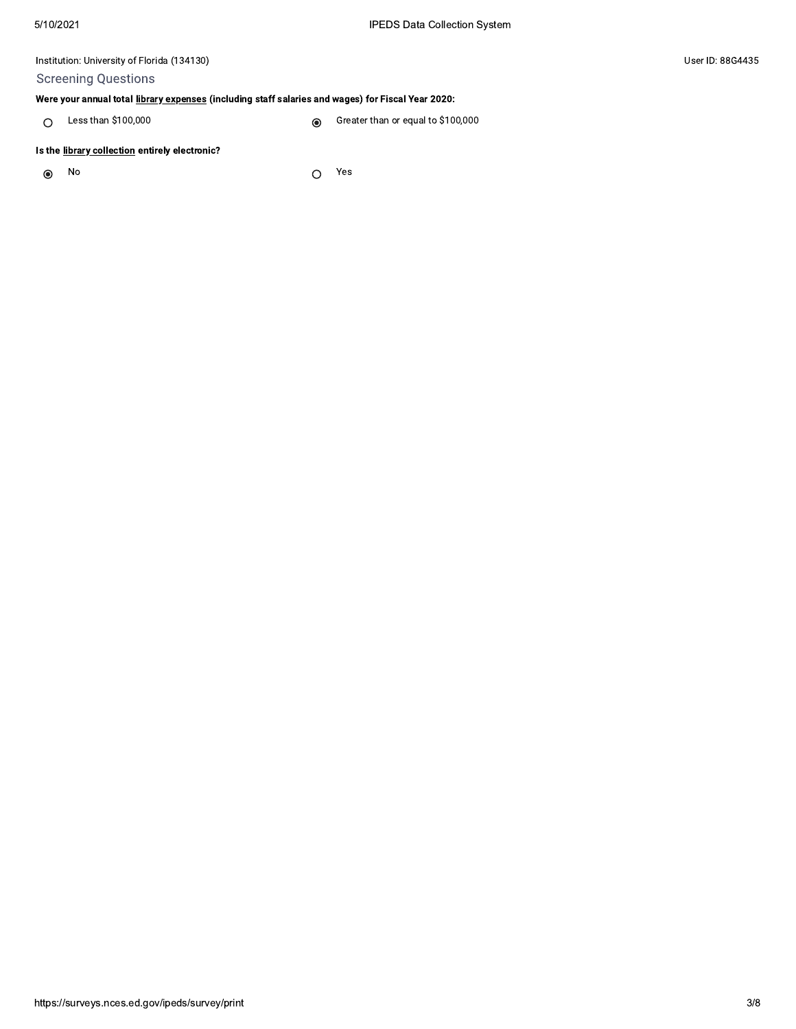# **Screening Questions**

# Were your annual total library expenses (including staff salaries and wages) for Fiscal Year 2020:

Less than \$100,000 Greater than or equal to \$100,000  $\circ$  $\circledcirc$ 

#### Is the library collection entirely electronic?

No  $\odot$ 

Yes  $\bigcirc$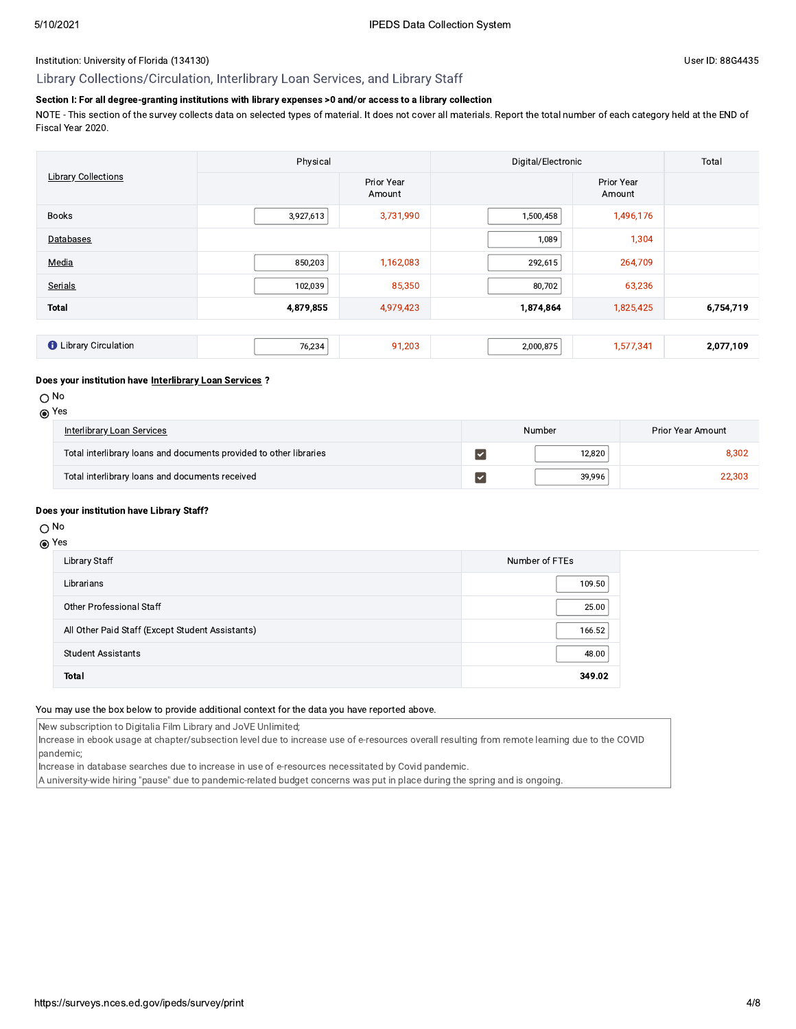#### Library Collections/Circulation, Interlibrary Loan Services, and Library Staff

### Section I: For all degree-granting institutions with library expenses >0 and/or access to a library collection

NOTE - This section of the survey collects data on selected types of material. It does not cover all materials. Report the total number of each category held at the END of Fiscal Year 2020.

|                              | Physical  |                      | Digital/Electronic | Total                |           |
|------------------------------|-----------|----------------------|--------------------|----------------------|-----------|
| <b>Library Collections</b>   |           | Prior Year<br>Amount |                    | Prior Year<br>Amount |           |
| <b>Books</b>                 | 3,927,613 | 3,731,990            | 1,500,458          | 1,496,176            |           |
| Databases                    |           |                      | 1,089              | 1,304                |           |
| Media                        | 850,203   | 1,162,083            | 292,615            | 264,709              |           |
| Serials                      | 102,039   | 85,350               | 80,702             | 63,236               |           |
| <b>Total</b>                 | 4,879,855 | 4,979,423            | 1,874,864          | 1,825,425            | 6,754,719 |
|                              |           |                      |                    |                      |           |
| <b>O</b> Library Circulation | 76,234    | 91,203               | 2,000,875          | 1,577,341            | 2,077,109 |

#### Does your institution have Interlibrary Loan Services ?

 $\bigcirc$  No

|--|--|

| Interlibrary Loan Services                                         | Number     | Prior Year Amount |
|--------------------------------------------------------------------|------------|-------------------|
| Total interlibrary loans and documents provided to other libraries | $12.820 +$ | 8,302             |
| Total interlibrary loans and documents received                    | 39.996     | 22.303            |

#### Does your institution have Library Staff?

#### $\bigcirc$  No

## **⊙** Yes

| Library Staff                                    | Number of FTEs |
|--------------------------------------------------|----------------|
| Librarians                                       | 109.50         |
| Other Professional Staff                         | 25.00          |
| All Other Paid Staff (Except Student Assistants) | 166.52         |
| <b>Student Assistants</b>                        | 48.00          |
| <b>Total</b>                                     | 349.02         |

#### You may use the box below to provide additional context for the data you have reported above.

New subscription to Digitalia Film Library and JoVE Unlimited;

Increase in ebook usage at chapter/subsection level due to increase use of e-resources overall resulting from remote learning due to the COVID pandemic;

Increase in database searches due to increase in use of e-resources necessitated by Covid pandemic.

A university-wide hiring "pause" due to pandemic-related budget concerns was put in place during the spring and is ongoing.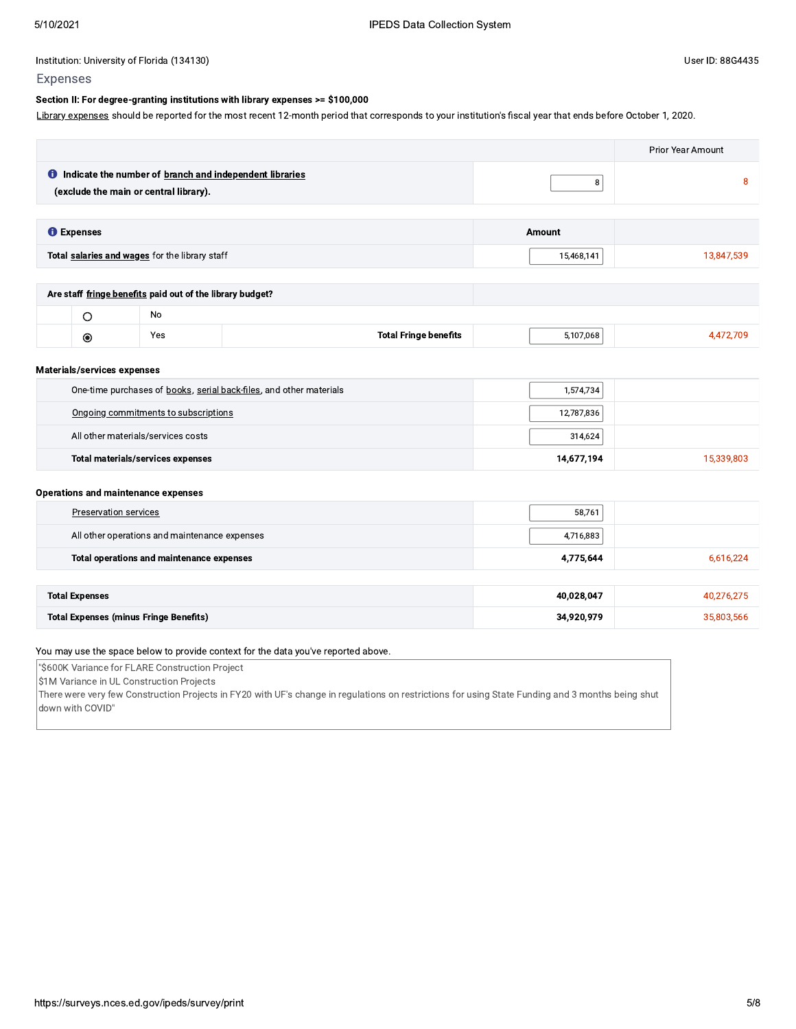#### Section II: For degree-granting institutions with library expenses >= \$100,000

Library expenses should be reported for the most recent 12-month period that corresponds to your institution's fiscal year that ends before October 1, 2020.

|                                                                                                            |            | <b>Prior Year Amount</b> |
|------------------------------------------------------------------------------------------------------------|------------|--------------------------|
| <b>O</b> Indicate the number of branch and independent libraries<br>(exclude the main or central library). | 8          | 8                        |
|                                                                                                            |            |                          |
| <b>O</b> Expenses                                                                                          | Amount     |                          |
| Total salaries and wages for the library staff                                                             | 15,468,141 | 13,847,539               |
|                                                                                                            |            |                          |
| Are staff fringe benefits paid out of the library budget?                                                  |            |                          |
| N <sub>0</sub><br>$\sim$                                                                                   |            |                          |

|    | <b>No</b> |                                    |            |  |
|----|-----------|------------------------------------|------------|--|
| O) | Yes       | Total .<br>∵ Eringa n⊶<br>benefits | ີ 17,068 ⊧ |  |

#### Materials/services expenses

| One-time purchases of books, serial back-files, and other materials | 1,574,734  |            |
|---------------------------------------------------------------------|------------|------------|
| Ongoing commitments to subscriptions                                | 12,787,836 |            |
| All other materials/services costs                                  | 314,624    |            |
| <b>Total materials/services expenses</b>                            | 14,677,194 | 15,339,803 |

#### **Operations and maintenance expenses**

| Preservation services                         | 58,761     |            |
|-----------------------------------------------|------------|------------|
| All other operations and maintenance expenses | 4,716,883  |            |
| Total operations and maintenance expenses     | 4,775,644  | 6,616,224  |
|                                               |            |            |
| <b>Total Expenses</b>                         | 40,028,047 | 40,276,275 |
| <b>Total Expenses (minus Fringe Benefits)</b> | 34,920,979 | 35,803,566 |

#### You may use the space below to provide context for the data you've reported above.

"\$600K Variance for FLARE Construction Project

\$1M Variance in UL Construction Projects

There were very few Construction Projects in FY20 with UF's change in regulations on restrictions for using State Funding and 3 months being shut down with COVID"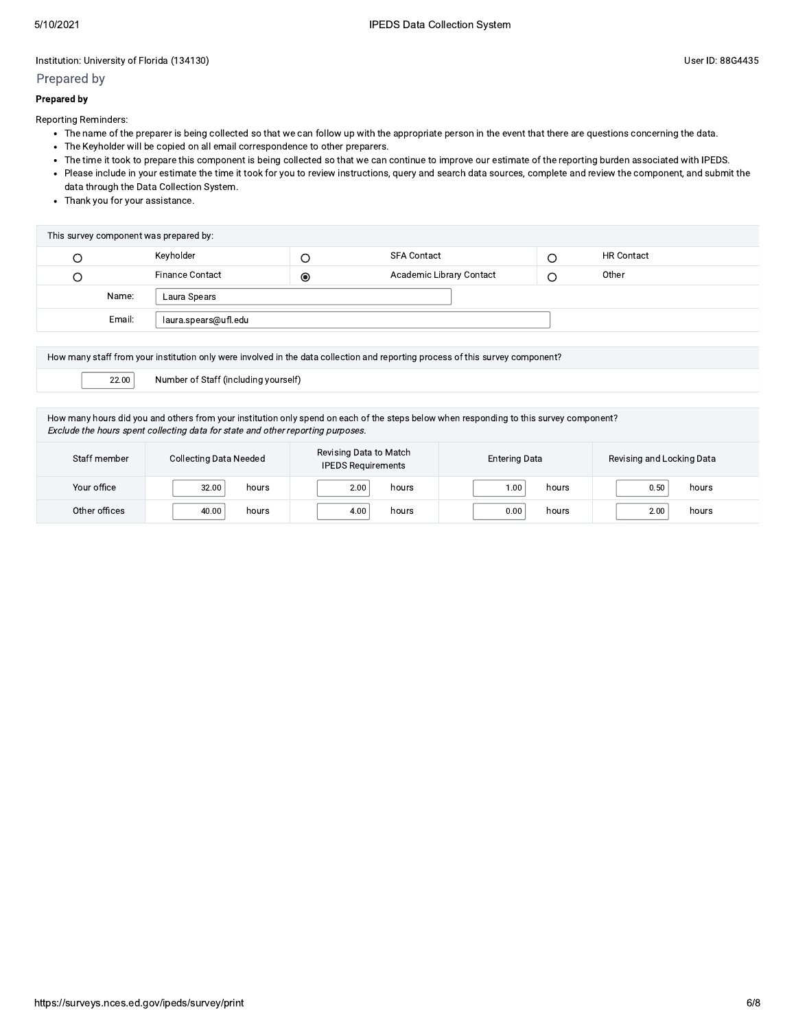#### Prepared by

#### **Prepared by**

Reporting Reminders:

- The name of the preparer is being collected so that we can follow up with the appropriate person in the event that there are questions concerning the data.
- The Keyholder will be copied on all email correspondence to other preparers.
- The time it took to prepare this component is being collected so that we can continue to improve our estimate of the reporting burden associated with IPEDS.
- Please include in your estimate the time it took for you to review instructions, query and search data sources, complete and review the component, and submit the data through the Data Collection System.
- Thank you for your assistance.

| This survey component was prepared by: |                        |           |                          |  |                   |
|----------------------------------------|------------------------|-----------|--------------------------|--|-------------------|
|                                        | Keyholder              |           | <b>SFA Contact</b>       |  | <b>HR Contact</b> |
|                                        | <b>Finance Contact</b> | $\bullet$ | Academic Library Contact |  | Other             |
| Name:                                  | Laura Spears           |           |                          |  |                   |
| Email:                                 | laura.spears@ufl.edu   |           |                          |  |                   |

| How many staff from your institution only were involved in the data collection and reporting process of this survey component? |  |  |  |
|--------------------------------------------------------------------------------------------------------------------------------|--|--|--|
| 22.00<br>Number of Staff (including yourself)                                                                                  |  |  |  |
|                                                                                                                                |  |  |  |

How many hours did you and others from your institution only spend on each of the steps below when responding to this survey component? Exclude the hours spent collecting data for state and other reporting purposes.

| Staff member  | <b>Collecting Data Needed</b> | Revising Data to Match<br><b>IPEDS Requirements</b> | <b>Entering Data</b> | Revising and Locking Data |
|---------------|-------------------------------|-----------------------------------------------------|----------------------|---------------------------|
| Your office   | 32.00                         | 2.00                                                | 1.00                 | 0.50                      |
|               | hours                         | hours                                               | hours                | hours                     |
| Other offices | hours                         | 4.00                                                | 0.00                 | 2.00                      |
|               | 40.00                         | hours                                               | hours                | hours                     |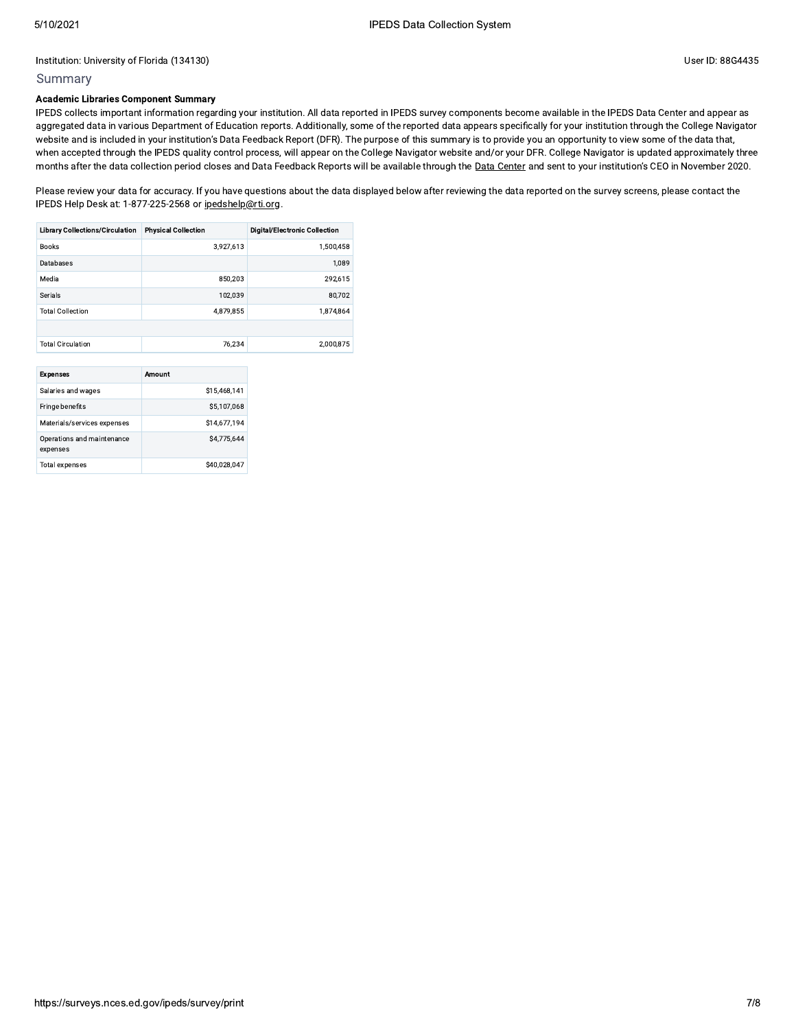### Summary

#### **Academic Libraries Component Summary**

IPEDS collects important information regarding your institution. All data reported in IPEDS survey components become available in the IPEDS Data Center and appear as aggregated data in various Department of Education reports. Additionally, some of the reported data appears specifically for your institution through the College Navigator website and is included in your institution's Data Feedback Report (DFR). The purpose of this summary is to provide you an opportunity to view some of the data that, when accepted through the IPEDS quality control process, will appear on the College Navigator website and/or your DFR. College Navigator is updated approximately three months after the data collection period closes and Data Feedback Reports will be available through the Data Center and sent to your institution's CEO in November 2020.

Please review your data for accuracy. If you have questions about the data displayed below after reviewing the data reported on the survey screens, please contact the IPEDS Help Desk at: 1-877-225-2568 or ipedshelp@rti.org.

| <b>Library Collections/Circulation</b> | <b>Physical Collection</b> | <b>Digital/Electronic Collection</b> |
|----------------------------------------|----------------------------|--------------------------------------|
| <b>Books</b>                           | 3.927.613                  | 1.500.458                            |
| Databases                              |                            | 1.089                                |
| Media                                  | 850,203                    | 292,615                              |
| Serials                                | 102.039                    | 80.702                               |
| <b>Total Collection</b>                | 4.879.855                  | 1,874,864                            |
|                                        |                            |                                      |
| <b>Total Circulation</b>               | 76.234                     | 2,000,875                            |
|                                        |                            |                                      |

| <b>Expenses</b>                        | Amount       |  |  |
|----------------------------------------|--------------|--|--|
| Salaries and wages                     | \$15.468.141 |  |  |
| Fringe benefits                        | \$5,107,068  |  |  |
| Materials/services expenses            | \$14,677,194 |  |  |
| Operations and maintenance<br>expenses | S4.775.644   |  |  |
| <b>Total expenses</b>                  | \$40.028.047 |  |  |